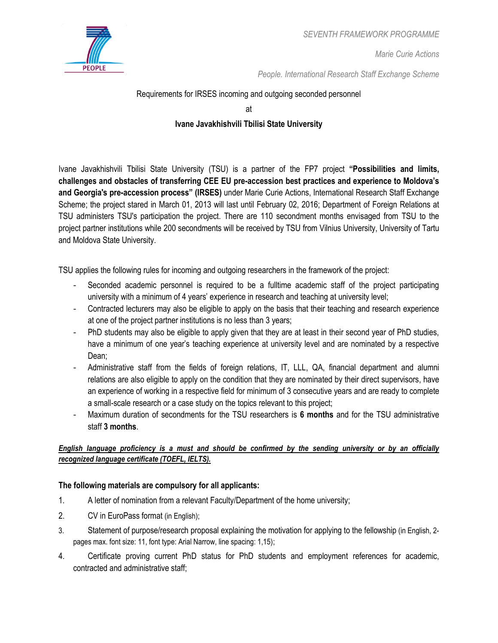

*Marie Curie Actions*

*People. International Research Staff Exchange Scheme*

# Requirements for IRSES incoming and outgoing seconded personnel

at

# **Ivane Javakhishvili Tbilisi State University**

Ivane Javakhishvili Tbilisi State University (TSU) is a partner of the FP7 project **"Possibilities and limits, challenges and obstacles of transferring CEE EU pre-accession best practices and experience to Moldova's and Georgia's pre-accession process" (IRSES)** under Marie Curie Actions, International Research Staff Exchange Scheme; the project stared in March 01, 2013 will last until February 02, 2016; Department of Foreign Relations at TSU administers TSU's participation the project. There are 110 secondment months envisaged from TSU to the project partner institutions while 200 secondments will be received by TSU from Vilnius University, University of Tartu and Moldova State University.

TSU applies the following rules for incoming and outgoing researchers in the framework of the project:

- Seconded academic personnel is required to be a fulltime academic staff of the project participating university with a minimum of 4 years' experience in research and teaching at university level;
- Contracted lecturers may also be eligible to apply on the basis that their teaching and research experience at one of the project partner institutions is no less than 3 years;
- PhD students may also be eligible to apply given that they are at least in their second year of PhD studies, have a minimum of one year's teaching experience at university level and are nominated by a respective Dean;
- Administrative staff from the fields of foreign relations, IT, LLL, QA, financial department and alumni relations are also eligible to apply on the condition that they are nominated by their direct supervisors, have an experience of working in a respective field for minimum of 3 consecutive years and are ready to complete a small-scale research or a case study on the topics relevant to this project;
- Maximum duration of secondments for the TSU researchers is **6 months** and for the TSU administrative staff **3 months**.

### *English language proficiency is a must and should be confirmed by the sending university or by an officially recognized language certificate (TOEFL, IELTS).*

### **The following materials are compulsory for all applicants:**

- 1. A letter of nomination from a relevant Faculty/Department of the home university;
- 2. CV in EuroPass format (in English);
- 3. Statement of purpose/research proposal explaining the motivation for applying to the fellowship (in English, 2 pages max. font size: 11, font type: Arial Narrow, line spacing: 1,15);
- 4. Certificate proving current PhD status for PhD students and employment references for academic, contracted and administrative staff;